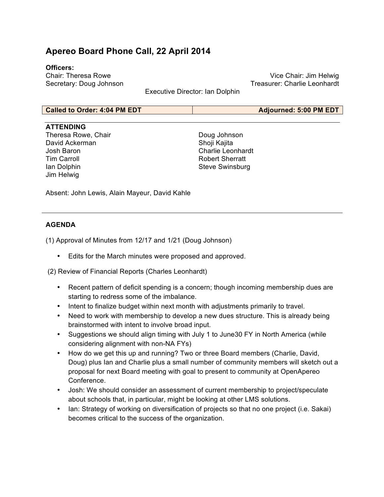# **Apereo Board Phone Call, 22 April 2014**

## **Officers:**

Chair: Theresa Rowe Secretary: Doug Johnson

Vice Chair: Jim Helwig Treasurer: Charlie Leonhardt

Executive Director: Ian Dolphin

#### **Called to Order: 4:04 PM EDT Adjourned: 5:00 PM EDT**

### **ATTENDING**

Theresa Rowe, Chair David Ackerman Josh Baron Tim Carroll Ian Dolphin Jim Helwig

Doug Johnson Shoji Kajita Charlie Leonhardt Robert Sherratt Steve Swinsburg

Absent: John Lewis, Alain Mayeur, David Kahle

### **AGENDA**

(1) Approval of Minutes from 12/17 and 1/21 (Doug Johnson)

• Edits for the March minutes were proposed and approved.

(2) Review of Financial Reports (Charles Leonhardt)

- Recent pattern of deficit spending is a concern; though incoming membership dues are starting to redress some of the imbalance.
- Intent to finalize budget within next month with adjustments primarily to travel.
- Need to work with membership to develop a new dues structure. This is already being brainstormed with intent to involve broad input.
- Suggestions we should align timing with July 1 to June30 FY in North America (while considering alignment with non-NA FYs)
- How do we get this up and running? Two or three Board members (Charlie, David, Doug) plus Ian and Charlie plus a small number of community members will sketch out a proposal for next Board meeting with goal to present to community at OpenApereo Conference.
- Josh: We should consider an assessment of current membership to project/speculate about schools that, in particular, might be looking at other LMS solutions.
- Ian: Strategy of working on diversification of projects so that no one project (i.e. Sakai) becomes critical to the success of the organization.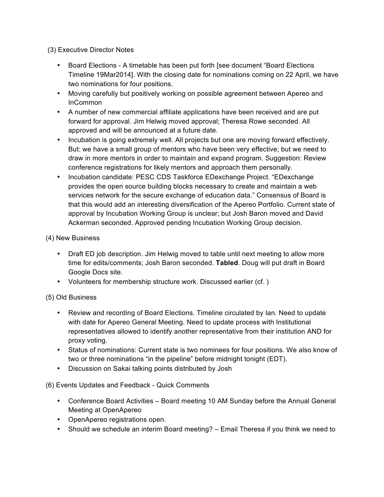(3) Executive Director Notes

- Board Elections A timetable has been put forth [see document "Board Elections Timeline 19Mar2014]. With the closing date for nominations coming on 22 April, we have two nominations for four positions.
- Moving carefully but positively working on possible agreement between Apereo and InCommon
- A number of new commercial affiliate applications have been received and are put forward for approval. Jim Helwig moved approval; Theresa Rowe seconded. All approved and will be announced at a future date.
- Incubation is going extremely well. All projects but one are moving forward effectively. But: we have a small group of mentors who have been very effective; but we need to draw in more mentors in order to maintain and expand program. Suggestion: Review conference registrations for likely mentors and approach them personally.
- Incubation candidate: PESC CDS Taskforce EDexchange Project. "EDexchange provides the open source building blocks necessary to create and maintain a web services network for the secure exchange of education data." Consensus of Board is that this would add an interesting diversification of the Apereo Portfolio. Current state of approval by Incubation Working Group is unclear; but Josh Baron moved and David Ackerman seconded. Approved pending Incubation Working Group decision.

## (4) New Business

- Draft ED job description. Jim Helwig moved to table until next meeting to allow more time for edits/comments; Josh Baron seconded. **Tabled**. Doug will put draft in Board Google Docs site.
- Volunteers for membership structure work. Discussed earlier (cf. )

# (5) Old Business

- Review and recording of Board Elections. Timeline circulated by Ian. Need to update with date for Apereo General Meeting. Need to update process with Institutional representatives allowed to identify another representative from their institution AND for proxy voting.
- Status of nominations: Current state is two nominees for four positions. We also know of two or three nominations "in the pipeline" before midnight tonight (EDT).
- Discussion on Sakai talking points distributed by Josh

(6) Events Updates and Feedback - Quick Comments

- Conference Board Activities Board meeting 10 AM Sunday before the Annual General Meeting at OpenApereo
- OpenApereo registrations open.
- Should we schedule an interim Board meeting? Email Theresa if you think we need to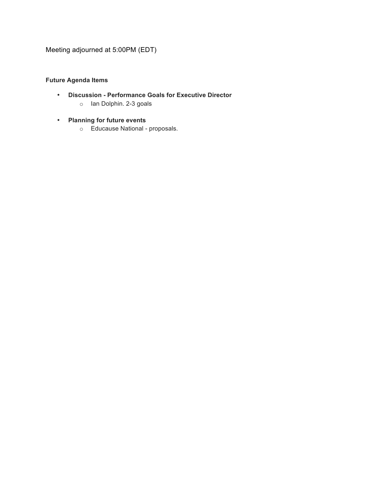Meeting adjourned at 5:00PM (EDT)

## **Future Agenda Items**

- **Discussion - Performance Goals for Executive Director**
	- o Ian Dolphin. 2-3 goals
- **Planning for future events**
	- o Educause National proposals.